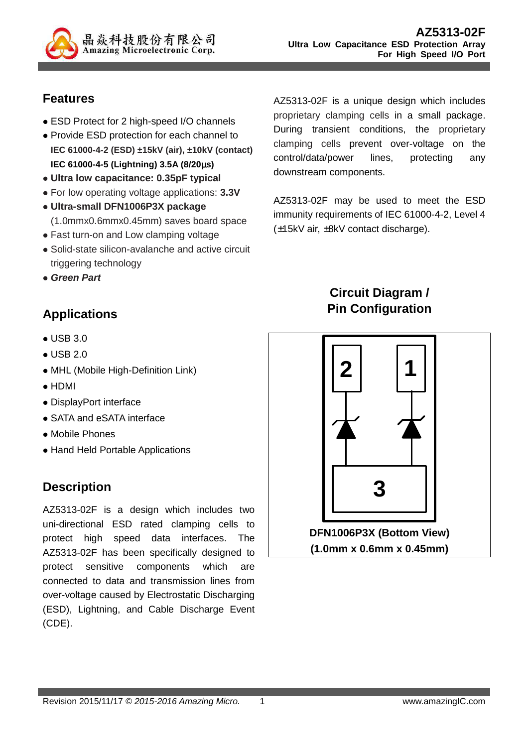

## **Features**

- ESD Protect for 2 high-speed I/O channels
- Provide ESD protection for each channel to **IEC 61000-4-2 (ESD) ±15kV (air), ±10kV (contact) IEC 61000-4-5 (Lightning) 3.5A (8/20**µ**s)**
- **Ultra low capacitance: 0.35pF typical**
- For low operating voltage applications: **3.3V**
- **Ultra-small DFN1006P3X package** (1.0mmx0.6mmx0.45mm) saves board space
- Fast turn-on and Low clamping voltage
- Solid-state silicon-avalanche and active circuit triggering technology
- **Green Part**

# **Applications**

- $\bullet$  USB 3.0
- USB 2.0
- MHL (Mobile High-Definition Link)
- HDMI
- DisplayPort interface
- SATA and eSATA interface
- Mobile Phones
- Hand Held Portable Applications

#### **Description**

AZ5313-02F is a design which includes two uni-directional ESD rated clamping cells to protect high speed data interfaces. The AZ5313-02F has been specifically designed to protect sensitive components which are connected to data and transmission lines from over-voltage caused by Electrostatic Discharging (ESD), Lightning, and Cable Discharge Event (CDE).

AZ5313-02F is a unique design which includes proprietary clamping cells in a small package. During transient conditions, the proprietary clamping cells prevent over-voltage on the control/data/power lines, protecting any downstream components.

AZ5313-02F may be used to meet the ESD immunity requirements of IEC 61000-4-2, Level 4 (±15kV air, ±8kV contact discharge).

# **Circuit Diagram / Pin Configuration**

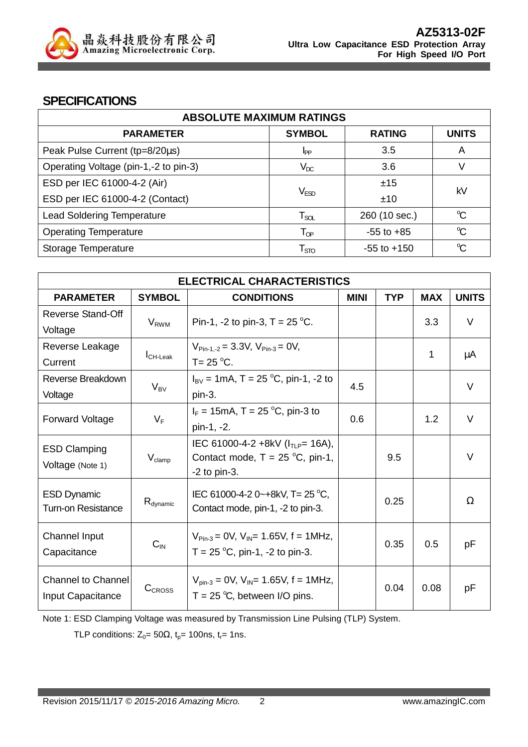

#### **SPECIFICATIONS**

| <b>ABSOLUTE MAXIMUM RATINGS</b>       |                            |                 |              |  |
|---------------------------------------|----------------------------|-----------------|--------------|--|
| <b>PARAMETER</b>                      | <b>SYMBOL</b>              | <b>RATING</b>   | <b>UNITS</b> |  |
| Peak Pulse Current (tp=8/20µs)        | I <sub>PP</sub>            | 3.5             | A            |  |
| Operating Voltage (pin-1,-2 to pin-3) | $V_{DC}$                   | 3.6             | V            |  |
| ESD per IEC 61000-4-2 (Air)           |                            |                 | kV           |  |
| ESD per IEC 61000-4-2 (Contact)       | V <sub>ESD</sub>           | ±10             |              |  |
| <b>Lead Soldering Temperature</b>     | $T_{\rm SOL}$              | 260 (10 sec.)   | $\mathrm{C}$ |  |
| <b>Operating Temperature</b>          | $\mathsf{T}_{\mathsf{OP}}$ | $-55$ to $+85$  | $\mathrm{C}$ |  |
| Storage Temperature                   | $\mathsf{T}_{\text{STO}}$  | $-55$ to $+150$ | $\mathrm{C}$ |  |

| <b>ELECTRICAL CHARACTERISTICS</b> |                             |                                                                  |             |            |            |              |
|-----------------------------------|-----------------------------|------------------------------------------------------------------|-------------|------------|------------|--------------|
| <b>PARAMETER</b>                  | <b>SYMBOL</b>               | <b>CONDITIONS</b>                                                | <b>MINI</b> | <b>TYP</b> | <b>MAX</b> | <b>UNITS</b> |
| <b>Reverse Stand-Off</b>          | $V_{RWM}$                   | Pin-1, -2 to pin-3, $T = 25$ °C.                                 |             |            | 3.3        | V            |
| Voltage                           |                             |                                                                  |             |            |            |              |
| Reverse Leakage                   |                             | $V_{\text{Pin-1-2}} = 3.3V, V_{\text{Pin-3}} = 0V,$              |             |            | 1          |              |
| Current                           | $I_{CH\text{-}\text{Leak}}$ | $T = 25 °C$ .                                                    |             |            |            | μA           |
| Reverse Breakdown                 | $V_{BV}$                    | $I_{BV}$ = 1mA, T = 25 °C, pin-1, -2 to                          | 4.5         |            |            | $\vee$       |
| Voltage                           |                             | pin-3.                                                           |             |            |            |              |
| <b>Forward Voltage</b>            |                             | $I_F = 15 \text{mA}, T = 25 \text{ °C}, \text{pin-3 to}$         | 0.6         |            | 1.2        | V            |
|                                   | $V_F$                       | pin-1, -2.                                                       |             |            |            |              |
| <b>ESD Clamping</b>               |                             | IEC 61000-4-2 +8kV ( $I_{TLP}$ = 16A),                           |             |            |            |              |
| Voltage (Note 1)                  | $V_{\text{clamp}}$          | Contact mode, $T = 25$ °C, pin-1,                                |             | 9.5        |            | V            |
|                                   |                             | $-2$ to pin $-3$ .                                               |             |            |            |              |
| <b>ESD Dynamic</b>                |                             | IEC 61000-4-2 0~+8kV, T= 25 °C,                                  |             |            |            |              |
| <b>Turn-on Resistance</b>         | $R_{\text{dynamic}}$        | Contact mode, pin-1, -2 to pin-3.                                | 0.25        |            |            | Ω            |
|                                   |                             |                                                                  |             |            |            |              |
| Channel Input                     | $C_{IN}$                    | $V_{\text{Pin-3}} = 0V$ , $V_{\text{IN}} = 1.65V$ , $f = 1MHz$ , |             | 0.35       | 0.5        | рF           |
| Capacitance                       |                             | $T = 25$ °C, pin-1, -2 to pin-3.                                 |             |            |            |              |
| <b>Channel to Channel</b>         |                             | $V_{pin-3} = 0V$ , $V_{IN} = 1.65V$ , f = 1MHz,                  |             |            |            |              |
| Input Capacitance                 | $C_{CROSS}$                 | $T = 25$ °C, between I/O pins.                                   |             | 0.04       | 0.08       | рF           |
|                                   |                             |                                                                  |             |            |            |              |

Note 1: ESD Clamping Voltage was measured by Transmission Line Pulsing (TLP) System.

TLP conditions:  $Z_0 = 50\Omega$ ,  $t_p = 100$ ns,  $t_r = 1$ ns.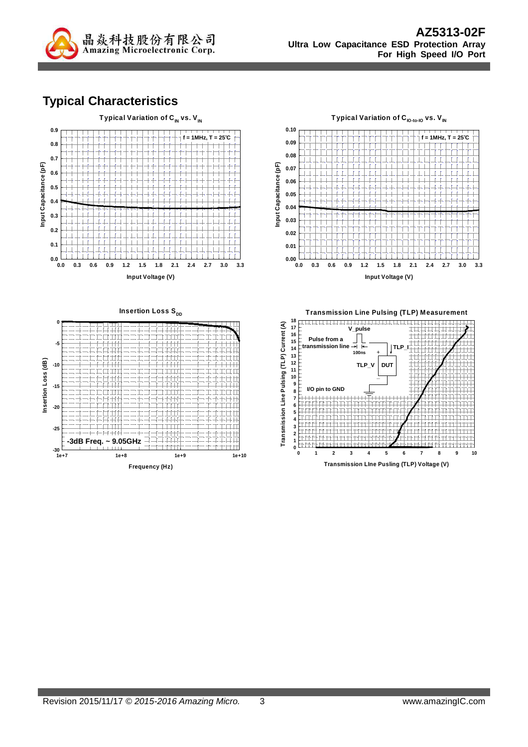

# **Typical Characteristics**

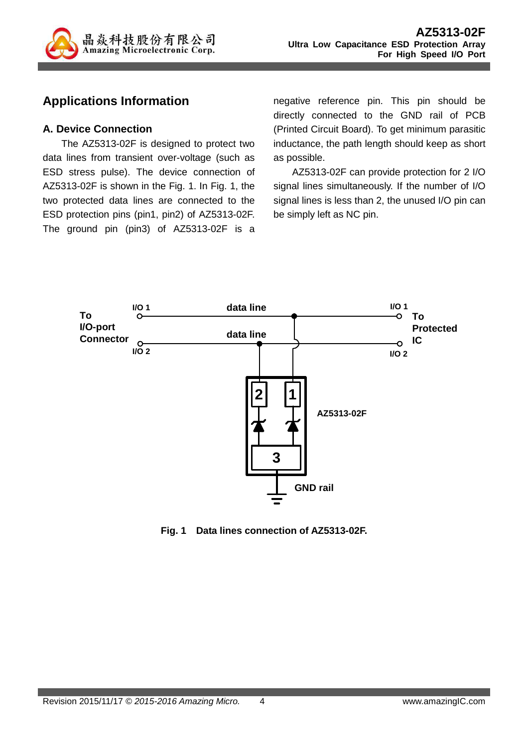

#### **Applications Information**

#### **A. Device Connection**

The AZ5313-02F is designed to protect two data lines from transient over-voltage (such as ESD stress pulse). The device connection of AZ5313-02F is shown in the Fig. 1. In Fig. 1, the two protected data lines are connected to the ESD protection pins (pin1, pin2) of AZ5313-02F. The ground pin (pin3) of AZ5313-02F is a

negative reference pin. This pin should be directly connected to the GND rail of PCB (Printed Circuit Board). To get minimum parasitic inductance, the path length should keep as short as possible.

AZ5313-02F can provide protection for 2 I/O signal lines simultaneously. If the number of I/O signal lines is less than 2, the unused I/O pin can be simply left as NC pin.



**Fig. 1 Data lines connection of AZ5313-02F.**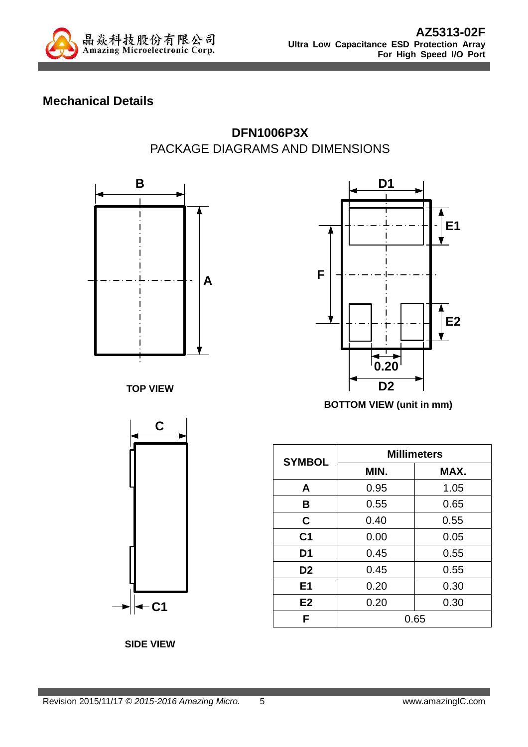

## **Mechanical Details**

### **DFN1006P3X** PACKAGE DIAGRAMS AND DIMENSIONS





**TOP VIEW** 





**SIDE VIEW** 

| <b>SYMBOL</b>  | <b>Millimeters</b> |      |  |  |
|----------------|--------------------|------|--|--|
|                | MIN.               | MAX. |  |  |
| A              | 0.95               | 1.05 |  |  |
| B              | 0.55               | 0.65 |  |  |
| C              | 0.40               | 0.55 |  |  |
| C <sub>1</sub> | 0.00               | 0.05 |  |  |
| D <sub>1</sub> | 0.45               | 0.55 |  |  |
| D <sub>2</sub> | 0.45               | 0.55 |  |  |
| E <sub>1</sub> | 0.20               | 0.30 |  |  |
| E <sub>2</sub> | 0.20<br>0.30       |      |  |  |
| F              | 0.65               |      |  |  |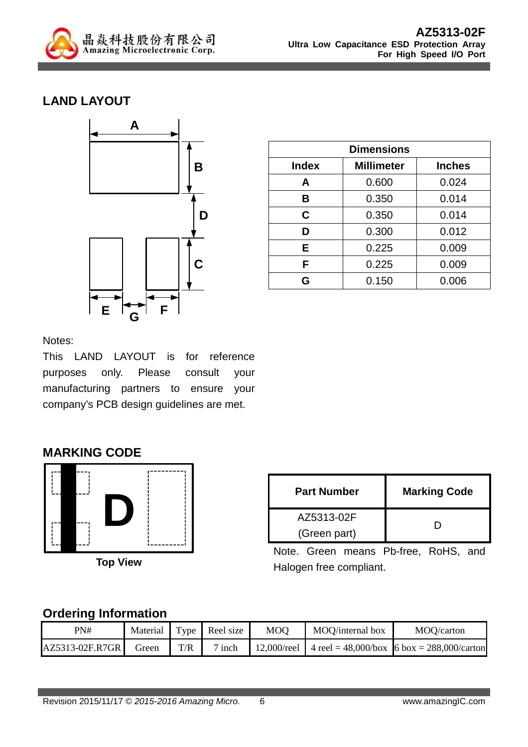

# **LAND LAYOUT**



| <b>Dimensions</b> |                   |               |  |
|-------------------|-------------------|---------------|--|
| <b>Index</b>      | <b>Millimeter</b> | <b>Inches</b> |  |
| A                 | 0.600             | 0.024         |  |
| B                 | 0.350             | 0.014         |  |
| C                 | 0.350             | 0.014         |  |
| D                 | 0.300             | 0.012         |  |
| Е                 | 0.225             | 0.009         |  |
| F                 | 0.225             | 0.009         |  |
| G                 | 0.150             | 0.006         |  |

#### Notes:

This LAND LAYOUT is for reference purposes only. Please consult your manufacturing partners to ensure your company's PCB design guidelines are met.

#### **MARKING CODE**



| <b>Part Number</b> | <b>Marking Code</b> |  |  |
|--------------------|---------------------|--|--|
| AZ5313-02F         |                     |  |  |
| (Green part)       |                     |  |  |

Note. Green means Pb-free, RoHS, and Halogen free compliant.

## **Ordering Information**

| PN#             |       |     | Material Type Reel size | <b>MOO</b> | MOQ/internal box | MOQ/carton                                             |
|-----------------|-------|-----|-------------------------|------------|------------------|--------------------------------------------------------|
| AZ5313-02F.R7GR | Green | T/R | $7$ inch                |            |                  | 12,000/reel 4 reel = 48,000/box 6 box = 288,000/carton |